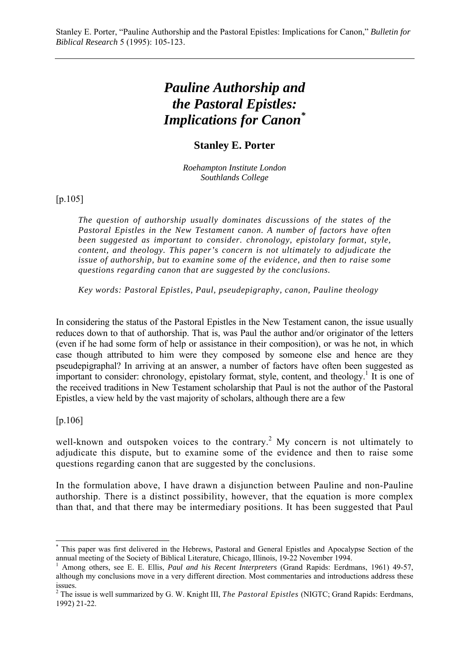# *Pauline Authorship and the Pastoral Epistles: Implications for Canon\**

## **Stanley E. Porter**

*Roehampton Institute London Southlands College*

[p.105]

*The question of authorship usually dominates discussions of the states of the Pastoral Epistles in the New Testament canon. A number of factors have often been suggested as important to consider. chronology, epistolary format, style, content, and theology. This paper's concern is not ultimately to adjudicate the issue of authorship, but to examine some of the evidence, and then to raise some questions regarding canon that are suggested by the conclusions.*

*Key words: Pastoral Epistles, Paul, pseudepigraphy, canon, Pauline theology*

In considering the status of the Pastoral Epistles in the New Testament canon, the issue usually reduces down to that of authorship. That is, was Paul the author and/or originator of the letters (even if he had some form of help or assistance in their composition), or was he not, in which case though attributed to him were they composed by someone else and hence are they pseudepigraphal? In arriving at an answer, a number of factors have often been suggested as important to consider: chronology, epistolary format, style, content, and theology.<sup>1</sup> It is one of the received traditions in New Testament scholarship that Paul is not the author of the Pastoral Epistles, a view held by the vast majority of scholars, although there are a few

[p.106]

 $\overline{a}$ 

well-known and outspoken voices to the contrary.<sup>2</sup> My concern is not ultimately to adjudicate this dispute, but to examine some of the evidence and then to raise some questions regarding canon that are suggested by the conclusions.

In the formulation above, I have drawn a disjunction between Pauline and non-Pauline authorship. There is a distinct possibility, however, that the equation is more complex than that, and that there may be intermediary positions. It has been suggested that Paul

<sup>\*</sup> This paper was first delivered in the Hebrews, Pastoral and General Epistles and Apocalypse Section of the annual meeting of the Society of Biblical Literature, Chicago, Illinois, 19-22 November 1994.

<sup>1</sup> Among others, see E. E. Ellis, *Paul and his Recent Interpreters* (Grand Rapids: Eerdmans, 1961) 49-57, although my conclusions move in a very different direction. Most commentaries and introductions address these issues.

<sup>&</sup>lt;sup>2</sup> The issue is well summarized by G. W. Knight III, *The Pastoral Epistles* (NIGTC; Grand Rapids: Eerdmans, 1992) 21-22.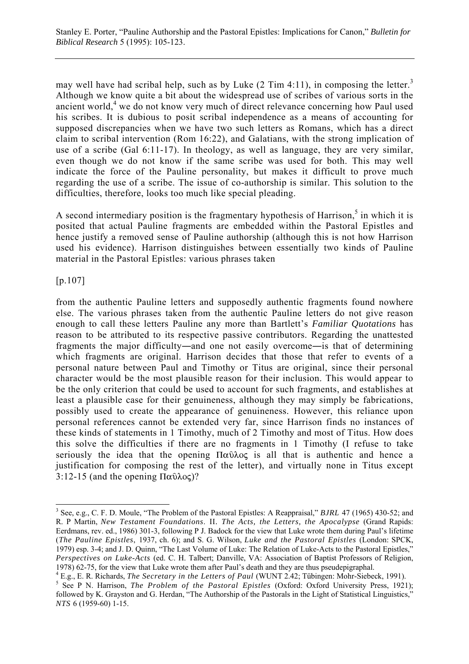may well have had scribal help, such as by Luke  $(2 \text{ Tim } 4:11)$ , in composing the letter.<sup>3</sup> Although we know quite a bit about the widespread use of scribes of various sorts in the ancient world,<sup>4</sup> we do not know very much of direct relevance concerning how Paul used his scribes. It is dubious to posit scribal independence as a means of accounting for supposed discrepancies when we have two such letters as Romans, which has a direct claim to scribal intervention (Rom 16:22), and Galatians, with the strong implication of use of a scribe (Gal 6:11-17). In theology, as well as language, they are very similar, even though we do not know if the same scribe was used for both. This may well indicate the force of the Pauline personality, but makes it difficult to prove much regarding the use of a scribe. The issue of co-authorship is similar. This solution to the difficulties, therefore, looks too much like special pleading.

A second intermediary position is the fragmentary hypothesis of Harrison, $<sup>5</sup>$  in which it is</sup> posited that actual Pauline fragments are embedded within the Pastoral Epistles and hence justify a removed sense of Pauline authorship (although this is not how Harrison used his evidence). Harrison distinguishes between essentially two kinds of Pauline material in the Pastoral Epistles: various phrases taken

[p.107]

 $\overline{a}$ 

from the authentic Pauline letters and supposedly authentic fragments found nowhere else. The various phrases taken from the authentic Pauline letters do not give reason enough to call these letters Pauline any more than Bartlett's *Familiar Quotations* has reason to be attributed to its respective passive contributors. Regarding the unattested fragments the major difficulty―and one not easily overcome―is that of determining which fragments are original. Harrison decides that those that refer to events of a personal nature between Paul and Timothy or Titus are original, since their personal character would be the most plausible reason for their inclusion. This would appear to be the only criterion that could be used to account for such fragments, and establishes at least a plausible case for their genuineness, although they may simply be fabrications, possibly used to create the appearance of genuineness. However, this reliance upon personal references cannot be extended very far, since Harrison finds no instances of these kinds of statements in 1 Timothy, much of 2 Timothy and most of Titus. How does this solve the difficulties if there are no fragments in 1 Timothy (I refuse to take seriously the idea that the opening  $\Pi\alpha\hat{v}\lambda o\varsigma$  is all that is authentic and hence a justification for composing the rest of the letter), and virtually none in Titus except 3:12-15 (and the opening  $\Pi \alpha \hat{\upsilon} \lambda o \varsigma$ )?

<sup>3</sup> See, e.g., C. F. D. Moule, "The Problem of the Pastoral Epistles: A Reappraisal," *BJRL* 47 (1965) 430-52; and R. P Martin, *New Testament Foundations*. II*. The Acts, the Letters, the Apocalypse* (Grand Rapids: Eerdmans, rev. ed., 1986) 301-3, following P J. Badock for the view that Luke wrote them during Paul's lifetime (*The Pauline Epistles*, 1937, ch. 6); and S. G. Wilson, *Luke and the Pastoral Epistles* (London: SPCK, 1979) esp. 3-4; and J. D. Quinn, "The Last Volume of Luke: The Relation of Luke-Acts to the Pastoral Epistles," *Perspectives on Luke-Acts* (ed. C. H. Talbert; Danville, VA: Association of Baptist Professors of Religion, 1978) 62-75, for the view that Luke wrote them after Paul's death and they are thus pseudepigraphal.

<sup>&</sup>lt;sup>4</sup> E.g., E. R. Richards, *The Secretary in the Letters of Paul* (WUNT 2.42; Tübingen: Mohr-Siebeck, 1991). <sup>5</sup> See B. N. Herricon. *The Brablem of the Bastanal Enisties (Oxford: Oxford University Press*, 1923) <sup>5</sup> See P N. Harrison, *The Problem of the Pastoral Epistles* (Oxford: Oxford University Press, 1921); followed by K. Grayston and G. Herdan, "The Authorship of the Pastorals in the Light of Statistical Linguistics," *NTS* 6 (1959-60) 1-15.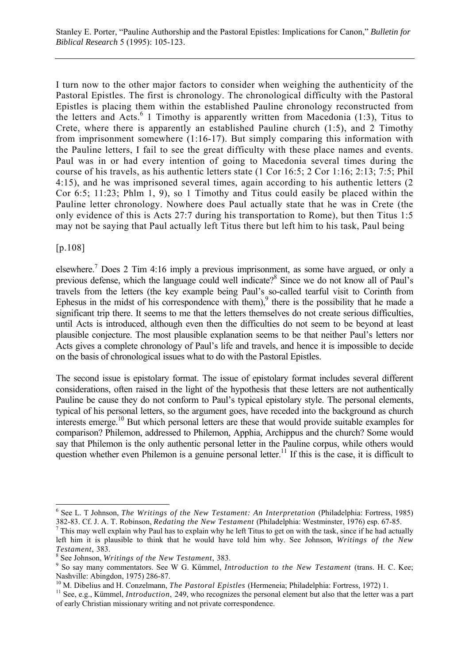I turn now to the other major factors to consider when weighing the authenticity of the Pastoral Epistles. The first is chronology. The chronological difficulty with the Pastoral Epistles is placing them within the established Pauline chronology reconstructed from the letters and Acts.<sup>6</sup> 1 Timothy is apparently written from Macedonia (1:3), Titus to Crete, where there is apparently an established Pauline church  $(1:5)$ , and 2 Timothy from imprisonment somewhere (1:16-17). But simply comparing this information with the Pauline letters, I fail to see the great difficulty with these place names and events. Paul was in or had every intention of going to Macedonia several times during the course of his travels, as his authentic letters state (1 Cor 16:5; 2 Cor 1:16; 2:13; 7:5; Phil 4:15), and he was imprisoned several times, again according to his authentic letters (2 Cor 6:5; 11:23; Phlm 1, 9), so 1 Timothy and Titus could easily be placed within the Pauline letter chronology. Nowhere does Paul actually state that he was in Crete (the only evidence of this is Acts 27:7 during his transportation to Rome), but then Titus 1:5 may not be saying that Paul actually left Titus there but left him to his task, Paul being

[p.108]

elsewhere.<sup>7</sup> Does 2 Tim 4:16 imply a previous imprisonment, as some have argued, or only a previous defense, which the language could well indicate?<sup>8</sup> Since we do not know all of Paul's travels from the letters (the key example being Paul's so-called tearful visit to Corinth from Ephesus in the midst of his correspondence with them), $9$  there is the possibility that he made a significant trip there. It seems to me that the letters themselves do not create serious difficulties, until Acts is introduced, although even then the difficulties do not seem to be beyond at least plausible conjecture. The most plausible explanation seems to be that neither Paul's letters nor Acts gives a complete chronology of Paul's life and travels, and hence it is impossible to decide on the basis of chronological issues what to do with the Pastoral Epistles.

The second issue is epistolary format. The issue of epistolary format includes several different considerations, often raised in the light of the hypothesis that these letters are not authentically Pauline be cause they do not conform to Paul's typical epistolary style. The personal elements, typical of his personal letters, so the argument goes, have receded into the background as church interests emerge.10 But which personal letters are these that would provide suitable examples for comparison? Philemon, addressed to Philemon, Apphia, Archippus and the church? Some would say that Philemon is the only authentic personal letter in the Pauline corpus, while others would question whether even Philemon is a genuine personal letter.<sup>11</sup> If this is the case, it is difficult to

 $\overline{a}$ 6 See L. T Johnson, *The Writings of the New Testament: An Interpretation* (Philadelphia: Fortress, 1985) 382-83. Cf. J. A. T. Robinson, *Redating the New Testament* (Philadelphia: Westminster, 1976) esp. 67-85. <sup>7</sup>

 $7$  This may well explain why Paul has to explain why he left Titus to get on with the task, since if he had actually left him it is plausible to think that he would have told him why. See Johnson, *Writings of the New Testament*, 383.

See Johnson, *Writings of the New Testament*, 383. <sup>9</sup>

<sup>&</sup>lt;sup>9</sup> So say many commentators. See W G. Kümmel, *Introduction to the New Testament* (trans. H. C. Kee; Nashville: Abingdon, 1975) 286-87.<br><sup>10</sup> M. Dibelius and H. Conzelmann, *The Pastoral Epistles* (Hermeneia; Philadelphia: Fortress, 1972) 1.

 $11$  See, e.g., Kümmel, *Introduction*, 249, who recognizes the personal element but also that the letter was a part of early Christian missionary writing and not private correspondence.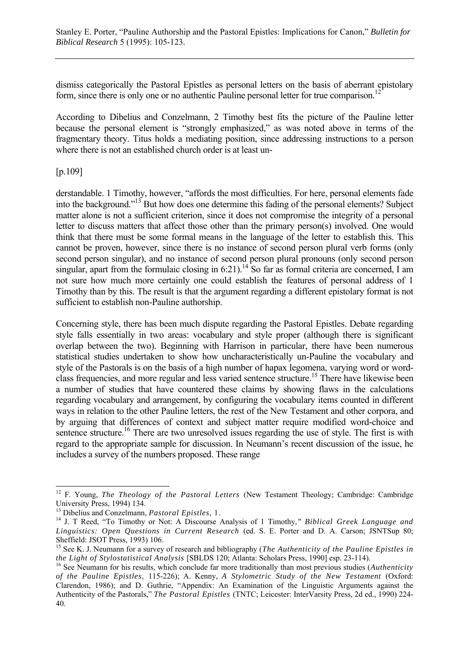dismiss categorically the Pastoral Epistles as personal letters on the basis of aberrant epistolary form, since there is only one or no authentic Pauline personal letter for true comparison.<sup>12</sup>

According to Dibelius and Conzelmann, 2 Timothy best fits the picture of the Pauline letter because the personal element is "strongly emphasized," as was noted above in terms of the fragmentary theory. Titus holds a mediating position, since addressing instructions to a person where there is not an established church order is at least un-

## [p.109]

derstandable. 1 Timothy, however, "affords the most difficulties. For here, personal elements fade into the background."<sup>13</sup> But how does one determine this fading of the personal elements? Subject matter alone is not a sufficient criterion, since it does not compromise the integrity of a personal letter to discuss matters that affect those other than the primary person(s) involved. One would think that there must be some formal means in the language of the letter to establish this. This cannot be proven, however, since there is no instance of second person plural verb forms (only second person singular), and no instance of second person plural pronouns (only second person singular, apart from the formulaic closing in 6:21).<sup>14</sup> So far as formal criteria are concerned, I am not sure how much more certainly one could establish the features of personal address of 1 Timothy than by this. The result is that the argument regarding a different epistolary format is not sufficient to establish non-Pauline authorship.

Concerning style, there has been much dispute regarding the Pastoral Epistles. Debate regarding style falls essentially in two areas: vocabulary and style proper (although there is significant overlap between the two). Beginning with Harrison in particular, there have been numerous statistical studies undertaken to show how uncharacteristically un-Pauline the vocabulary and style of the Pastorals is on the basis of a high number of hapax legomena, varying word or wordclass frequencies, and more regular and less varied sentence structure.15 There have likewise been a number of studies that have countered these claims by showing flaws in the calculations regarding vocabulary and arrangement, by configuring the vocabulary items counted in different ways in relation to the other Pauline letters, the rest of the New Testament and other corpora, and by arguing that differences of context and subject matter require modified word-choice and sentence structure.<sup>16</sup> There are two unresolved issues regarding the use of style. The first is with regard to the appropriate sample for discussion. In Neumann's recent discussion of the issue, he includes a survey of the numbers proposed. These range

 $\overline{a}$ <sup>12</sup> F. Young, *The Theology of the Pastoral Letters* (New Testament Theology; Cambridge: Cambridge University Press, 1994) 134.

<sup>&</sup>lt;sup>13</sup> Dibelius and Conzelmann, *Pastoral Epistles*, 1.<br><sup>14</sup> J. T Reed, "To Timothy or Not: A Discourse Analysis of 1 Timothy," *Biblical Greek Language and Linguistics: Open Questions in Current Research* (ed. S. E. Porter and D. A. Carson; JSNTSup 80; Sheffield: JSOT Press, 1993) 106.

<sup>15</sup> See K. J. Neumann for a survey of research and bibliography (*The Authenticity of the Pauline Epistles in the Light of Stylostatistical Analysis* [SBLDS 120; Atlanta: Scholars Press, 1990] esp. 23-114). <sup>16</sup> See Neumann for his results, which conclude far more traditionally than most previous studies (*Authenticity* 

*of the Pauline Epistles*, 115-226); A. Kenny*, A Stylometric Study of the New Testament* (Oxford: Clarendon, 1986); and D. Guthrie, "Appendix: An Examination of the Linguistic Arguments against the Authenticity of the Pastorals," *The Pastoral Epistles* (TNTC; Leicester: InterVarsity Press, 2d ed., 1990) 224- 40.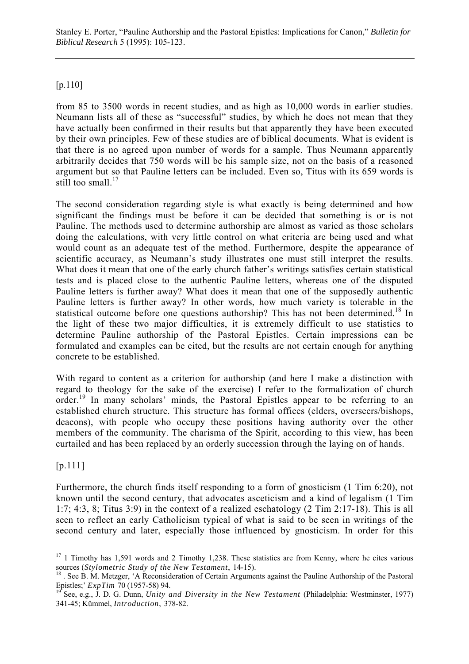Stanley E. Porter, "Pauline Authorship and the Pastoral Epistles: Implications for Canon," *Bulletin for Biblical Research* 5 (1995): 105-123.

### [p.110]

from 85 to 3500 words in recent studies, and as high as 10,000 words in earlier studies. Neumann lists all of these as "successful" studies, by which he does not mean that they have actually been confirmed in their results but that apparently they have been executed by their own principles. Few of these studies are of biblical documents. What is evident is that there is no agreed upon number of words for a sample. Thus Neumann apparently arbitrarily decides that 750 words will be his sample size, not on the basis of a reasoned argument but so that Pauline letters can be included. Even so, Titus with its 659 words is still too small. $^{17}$ 

The second consideration regarding style is what exactly is being determined and how significant the findings must be before it can be decided that something is or is not Pauline. The methods used to determine authorship are almost as varied as those scholars doing the calculations, with very little control on what criteria are being used and what would count as an adequate test of the method. Furthermore, despite the appearance of scientific accuracy, as Neumann's study illustrates one must still interpret the results. What does it mean that one of the early church father's writings satisfies certain statistical tests and is placed close to the authentic Pauline letters, whereas one of the disputed Pauline letters is further away? What does it mean that one of the supposedly authentic Pauline letters is further away? In other words, how much variety is tolerable in the statistical outcome before one questions authorship? This has not been determined.<sup>18</sup> In the light of these two major difficulties, it is extremely difficult to use statistics to determine Pauline authorship of the Pastoral Epistles. Certain impressions can be formulated and examples can be cited, but the results are not certain enough for anything concrete to be established.

With regard to content as a criterion for authorship (and here I make a distinction with regard to theology for the sake of the exercise) I refer to the formalization of church order.<sup>19</sup> In many scholars' minds, the Pastoral Epistles appear to be referring to an established church structure. This structure has formal offices (elders, overseers/bishops, deacons), with people who occupy these positions having authority over the other members of the community. The charisma of the Spirit, according to this view, has been curtailed and has been replaced by an orderly succession through the laying on of hands.

[p.111]

Furthermore, the church finds itself responding to a form of gnosticism (1 Tim 6:20), not known until the second century, that advocates asceticism and a kind of legalism (1 Tim 1:7; 4:3, 8; Titus 3:9) in the context of a realized eschatology (2 Tim 2:17-18). This is all seen to reflect an early Catholicism typical of what is said to be seen in writings of the second century and later, especially those influenced by gnosticism. In order for this

 $\overline{a}$  $17$  1 Timothy has 1,591 words and 2 Timothy 1,238. These statistics are from Kenny, where he cites various sources (*Stylometric Study of the New Testament*, 14-15).<br><sup>18</sup> . See B. M. Metzger, 'A Reconsideration of Certain Arguments against the Pauline Authorship of the Pastoral

Epistles;' *ExpTim* 70 (1957-58) 94.<br><sup>19</sup> See, e.g., J. D. G. Dunn, *Unity and Diversity in the New Testament* (Philadelphia: Westminster, 1977)

<sup>341-45;</sup> Kümmel, *Introduction*, 378-82.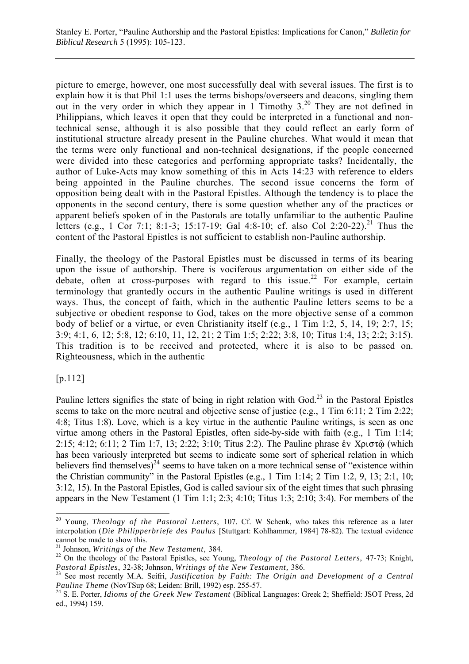picture to emerge, however, one most successfully deal with several issues. The first is to explain how it is that Phil 1:1 uses the terms bishops/overseers and deacons, singling them out in the very order in which they appear in 1 Timothy 3.20 They are not defined in Philippians, which leaves it open that they could be interpreted in a functional and nontechnical sense, although it is also possible that they could reflect an early form of institutional structure already present in the Pauline churches. What would it mean that the terms were only functional and non-technical designations, if the people concerned were divided into these categories and performing appropriate tasks? Incidentally, the author of Luke-Acts may know something of this in Acts 14:23 with reference to elders being appointed in the Pauline churches. The second issue concerns the form of opposition being dealt with in the Pastoral Epistles. Although the tendency is to place the opponents in the second century, there is some question whether any of the practices or apparent beliefs spoken of in the Pastorals are totally unfamiliar to the authentic Pauline letters (e.g., 1 Cor 7:1; 8:1-3; 15:17-19; Gal 4:8-10; cf. also Col 2:20-22).<sup>21</sup> Thus the content of the Pastoral Epistles is not sufficient to establish non-Pauline authorship.

Finally, the theology of the Pastoral Epistles must be discussed in terms of its bearing upon the issue of authorship. There is vociferous argumentation on either side of the debate, often at cross-purposes with regard to this issue.<sup>22</sup> For example, certain terminology that grantedly occurs in the authentic Pauline writings is used in different ways. Thus, the concept of faith, which in the authentic Pauline letters seems to be a subjective or obedient response to God, takes on the more objective sense of a common body of belief or a virtue, or even Christianity itself (e.g., 1 Tim 1:2, 5, 14, 19; 2:7, 15; 3:9; 4:1, 6, 12; 5:8, 12; 6:10, 11, 12, 21; 2 Tim 1:5; 2:22; 3:8, 10; Titus 1:4, 13; 2:2; 3:15). This tradition is to be received and protected, where it is also to be passed on. Righteousness, which in the authentic

## [p.112]

 $\overline{a}$ 

Pauline letters signifies the state of being in right relation with God.<sup>23</sup> in the Pastoral Epistles seems to take on the more neutral and objective sense of justice (e.g., 1 Tim 6:11; 2 Tim 2:22; 4:8; Titus 1:8). Love, which is a key virtue in the authentic Pauline writings, is seen as one virtue among others in the Pastoral Epistles, often side-by-side with faith (e.g., 1 Tim 1:14; 2:15; 4:12; 6:11; 2 Tim 1:7, 13; 2:22; 3:10; Titus 2:2). The Pauline phrase  $\dot{\epsilon}$  x  $X$  $\rho$  $\sigma\tau\hat{\omega}$  (which has been variously interpreted but seems to indicate some sort of spherical relation in which believers find themselves)<sup>24</sup> seems to have taken on a more technical sense of "existence within the Christian community" in the Pastoral Epistles (e.g., 1 Tim 1:14; 2 Tim 1:2, 9, 13; 2:1, 10; 3:12, 15). In the Pastoral Epistles, God is called saviour six of the eight times that such phrasing appears in the New Testament (1 Tim 1:1; 2:3; 4:10; Titus 1:3; 2:10; 3:4). For members of the

<sup>20</sup> Young, *Theology of the Pastoral Letters*, 107. Cf. W Schenk, who takes this reference as a later interpolation (*Die Philipperbriefe des Paulus* [Stuttgart: Kohlhammer, 1984] 78-82). The textual evidence cannot be made to show this.<br><sup>21</sup> Johnson, *Writings of the New Testament*, 384.

<sup>&</sup>lt;sup>22</sup> On the theology of the Pastoral Epistles, see Young, *Theology of the Pastoral Letters*, 47-73; Knight,

*Pastoral Epistles*, 32-38; Johnson, *Writings of the New Testament*, 386.<br><sup>23</sup> See most recently M.A. Seifri, *Justification by Faith: The Origin and Development of a Central Pauline Theme* (NovTSup 68; Leiden: Brill, 199

<sup>&</sup>lt;sup>24</sup> S. E. Porter, *Idioms of the Greek New Testament* (Biblical Languages: Greek 2; Sheffield: JSOT Press, 2d ed., 1994) 159.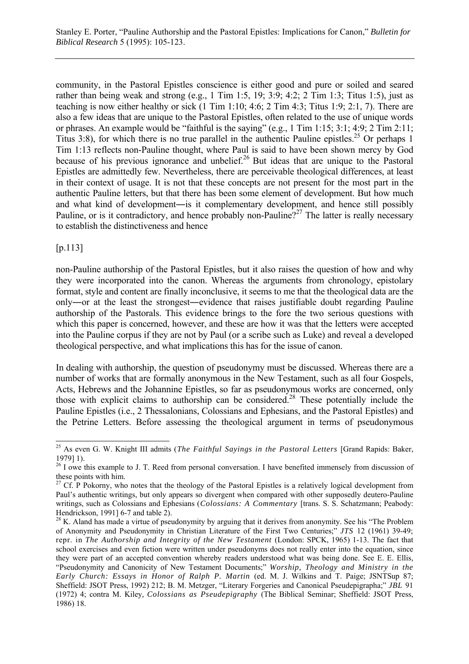community, in the Pastoral Epistles conscience is either good and pure or soiled and seared rather than being weak and strong (e.g., 1 Tim 1:5, 19; 3:9; 4:2; 2 Tim 1:3; Titus 1:5), just as teaching is now either healthy or sick (1 Tim 1:10; 4:6; 2 Tim 4:3; Titus 1:9; 2:1, 7). There are also a few ideas that are unique to the Pastoral Epistles, often related to the use of unique words or phrases. An example would be "faithful is the saying" (e.g., 1 Tim 1:15; 3:1; 4:9; 2 Tim 2:11; Titus 3:8), for which there is no true parallel in the authentic Pauline epistles.<sup>25</sup> Or perhaps 1 Tim 1:13 reflects non-Pauline thought, where Paul is said to have been shown mercy by God because of his previous ignorance and unbelief.<sup>26</sup> But ideas that are unique to the Pastoral Epistles are admittedly few. Nevertheless, there are perceivable theological differences, at least in their context of usage. It is not that these concepts are not present for the most part in the authentic Pauline letters, but that there has been some element of development. But how much and what kind of development―is it complementary development, and hence still possibly Pauline, or is it contradictory, and hence probably non-Pauline?<sup>27</sup> The latter is really necessary to establish the distinctiveness and hence

[p.113]

non-Pauline authorship of the Pastoral Epistles, but it also raises the question of how and why they were incorporated into the canon. Whereas the arguments from chronology, epistolary format, style and content are finally inconclusive, it seems to me that the theological data are the only―or at the least the strongest―evidence that raises justifiable doubt regarding Pauline authorship of the Pastorals. This evidence brings to the fore the two serious questions with which this paper is concerned, however, and these are how it was that the letters were accepted into the Pauline corpus if they are not by Paul (or a scribe such as Luke) and reveal a developed theological perspective, and what implications this has for the issue of canon.

In dealing with authorship, the question of pseudonymy must be discussed. Whereas there are a number of works that are formally anonymous in the New Testament, such as all four Gospels, Acts, Hebrews and the Johannine Epistles, so far as pseudonymous works are concerned, only those with explicit claims to authorship can be considered.<sup>28</sup> These potentially include the Pauline Epistles (i.e., 2 Thessalonians, Colossians and Ephesians, and the Pastoral Epistles) and the Petrine Letters. Before assessing the theological argument in terms of pseudonymous

 $\overline{a}$ 25 As even G. W. Knight III admits (*The Faithful Sayings in the Pastoral Letters* [Grand Rapids: Baker, 1979] 1).

 $26$  I owe this example to J. T. Reed from personal conversation. I have benefited immensely from discussion of these points with him.

<sup>&</sup>lt;sup>27</sup> Cf. P Pokorny, who notes that the theology of the Pastoral Epistles is a relatively logical development from Paul's authentic writings, but only appears so divergent when compared with other supposedly deutero-Pauline writings, such as Colossians and Ephesians (*Colossians: A Commentary* [trans. S. S. Schatzmann; Peabody: Hendrickson, 1991] 6-7 and table 2).

<sup>&</sup>lt;sup>28</sup> K. Aland has made a virtue of pseudonymity by arguing that it derives from anonymity. See his "The Problem" of Anonymity and Pseudonymity in Christian Literature of the First Two Centuries;" *JTS* 12 (1961) 39-49; repr. in *The Authorship and Integrity of the New Testament* (London: SPCK, 1965) 1-13. The fact that school exercises and even fiction were written under pseudonyms does not really enter into the equation, since they were part of an accepted convention whereby readers understood what was being done. See E. E. Ellis, "Pseudonymity and Canonicity of New Testament Documents;" *Worship, Theology and Ministry in the Early Church: Essays in Honor of Ralph P. Martin* (ed. M. J. Wilkins and T. Paige; JSNTSup 87; Sheffield: JSOT Press, 1992) 212; B. M. Metzger, "Literary Forgeries and Canonical Pseudepigrapha;" *JBL* 91 (1972) 4; contra M. Kiley*, Colossians as Pseudepigraphy* (The Biblical Seminar; Sheffield: JSOT Press, 1986) 18.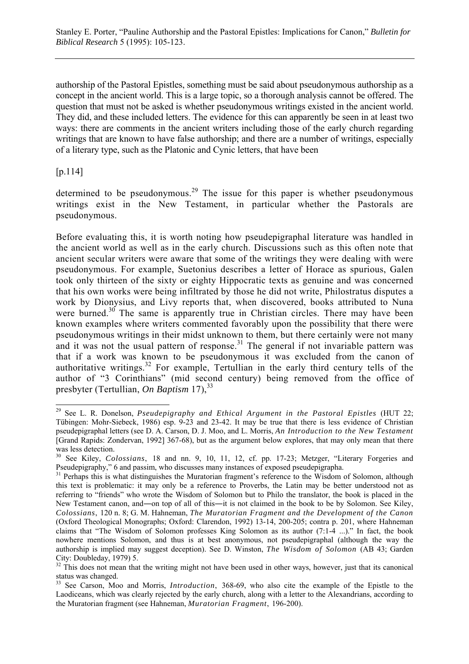authorship of the Pastoral Epistles, something must be said about pseudonymous authorship as a concept in the ancient world. This is a large topic, so a thorough analysis cannot be offered. The question that must not be asked is whether pseudonymous writings existed in the ancient world. They did, and these included letters. The evidence for this can apparently be seen in at least two ways: there are comments in the ancient writers including those of the early church regarding writings that are known to have false authorship; and there are a number of writings, especially of a literary type, such as the Platonic and Cynic letters, that have been

[p.114]

 $\overline{a}$ 

determined to be pseudonymous.<sup>29</sup> The issue for this paper is whether pseudonymous writings exist in the New Testament, in particular whether the Pastorals are pseudonymous.

Before evaluating this, it is worth noting how pseudepigraphal literature was handled in the ancient world as well as in the early church. Discussions such as this often note that ancient secular writers were aware that some of the writings they were dealing with were pseudonymous. For example, Suetonius describes a letter of Horace as spurious, Galen took only thirteen of the sixty or eighty Hippocratic texts as genuine and was concerned that his own works were being infiltrated by those he did not write, Philostratus disputes a work by Dionysius, and Livy reports that, when discovered, books attributed to Nuna were burned.<sup>30</sup> The same is apparently true in Christian circles. There may have been known examples where writers commented favorably upon the possibility that there were pseudonymous writings in their midst unknown to them, but there certainly were not many and it was not the usual pattern of response.<sup>31</sup> The general if not invariable pattern was that if a work was known to be pseudonymous it was excluded from the canon of authoritative writings.<sup>32</sup> For example, Tertullian in the early third century tells of the author of "3 Corinthians" (mid second century) being removed from the office of presbyter (Tertullian, *On Baptism* 17),<sup>33</sup>

<sup>29</sup> See L. R. Donelson, *Pseudepigraphy and Ethical Argument in the Pastoral Epistles* (HUT 22; Tübingen: Mohr-Siebeck, 1986) esp. 9-23 and 23-42. It may be true that there is less evidence of Christian pseudepigraphal letters (see D. A. Carson, D. J. Moo, and L. Morris, *An Introduction to the New Testament* [Grand Rapids: Zondervan, 1992] 367-68), but as the argument below explores, that may only mean that there was less detection.

<sup>30</sup> See Kiley, *Colossians*, 18 and nn. 9, 10, 11, 12, cf. pp. 17-23; Metzger, "Literary Forgeries and Pseudepigraphy," 6 and passim, who discusses many instances of exposed pseudepigrapha.

<sup>&</sup>lt;sup>31</sup> Perhaps this is what distinguishes the Muratorian fragment's reference to the Wisdom of Solomon, although this text is problematic: it may only be a reference to Proverbs, the Latin may be better understood not as referring to "friends" who wrote the Wisdom of Solomon but to Philo the translator, the book is placed in the New Testament canon, and—on top of all of this—it is not claimed in the book to be by Solomon. See Kiley, *Colossians*, 120 n. 8; G. M. Hahneman, *The Muratorian Fragment and the Development of the Canon* (Oxford Theological Monographs; Oxford: Clarendon, 1992) 13-14, 200-205; contra p. 201, where Hahneman claims that "The Wisdom of Solomon professes King Solomon as its author (7:1-4 ...)." In fact, the book nowhere mentions Solomon, and thus is at best anonymous, not pseudepigraphal (although the way the authorship is implied may suggest deception). See D. Winston, *The Wisdom of Solomon* (AB 43; Garden City: Doubleday, 1979) 5.

 $32$  This does not mean that the writing might not have been used in other ways, however, just that its canonical status was changed.

<sup>33</sup> See Carson, Moo and Morris, *Introduction*, 368-69, who also cite the example of the Epistle to the Laodiceans, which was clearly rejected by the early church, along with a letter to the Alexandrians, according to the Muratorian fragment (see Hahneman, *Muratorian Fragment*, 196-200).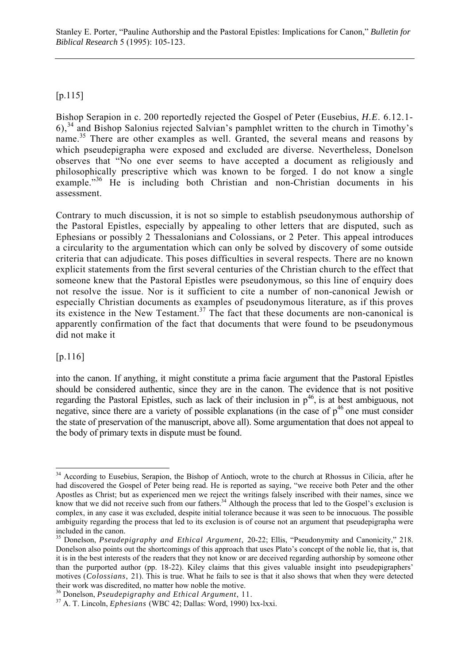Stanley E. Porter, "Pauline Authorship and the Pastoral Epistles: Implications for Canon," *Bulletin for Biblical Research* 5 (1995): 105-123.

#### [p.115]

Bishop Serapion in c. 200 reportedly rejected the Gospel of Peter (Eusebius, *H.E*. 6.12.1- 6),34 and Bishop Salonius rejected Salvian's pamphlet written to the church in Timothy's name.<sup>35</sup> There are other examples as well. Granted, the several means and reasons by which pseudepigrapha were exposed and excluded are diverse. Nevertheless, Donelson observes that "No one ever seems to have accepted a document as religiously and philosophically prescriptive which was known to be forged. I do not know a single example." $36$  He is including both Christian and non-Christian documents in his assessment.

Contrary to much discussion, it is not so simple to establish pseudonymous authorship of the Pastoral Epistles, especially by appealing to other letters that are disputed, such as Ephesians or possibly 2 Thessalonians and Colossians, or 2 Peter. This appeal introduces a circularity to the argumentation which can only be solved by discovery of some outside criteria that can adjudicate. This poses difficulties in several respects. There are no known explicit statements from the first several centuries of the Christian church to the effect that someone knew that the Pastoral Epistles were pseudonymous, so this line of enquiry does not resolve the issue. Nor is it sufficient to cite a number of non-canonical Jewish or especially Christian documents as examples of pseudonymous literature, as if this proves its existence in the New Testament.<sup>37</sup> The fact that these documents are non-canonical is apparently confirmation of the fact that documents that were found to be pseudonymous did not make it

#### [p.116]

into the canon. If anything, it might constitute a prima facie argument that the Pastoral Epistles should be considered authentic, since they are in the canon. The evidence that is not positive regarding the Pastoral Epistles, such as lack of their inclusion in  $p^{46}$ , is at best ambiguous, not negative, since there are a variety of possible explanations (in the case of  $p^{46}$  one must consider the state of preservation of the manuscript, above all). Some argumentation that does not appeal to the body of primary texts in dispute must be found.

 $\overline{a}$ <sup>34</sup> According to Eusebius, Serapion, the Bishop of Antioch, wrote to the church at Rhossus in Cilicia, after he had discovered the Gospel of Peter being read. He is reported as saying, "we receive both Peter and the other Apostles as Christ; but as experienced men we reject the writings falsely inscribed with their names, since we know that we did not receive such from our fathers.<sup>34</sup> Although the process that led to the Gospel's exclusion is complex, in any case it was excluded, despite initial tolerance because it was seen to be innocuous. The possible ambiguity regarding the process that led to its exclusion is of course not an argument that pseudepigrapha were included in the canon.

<sup>35</sup> Donelson, *Pseudepigraphy and Ethical Argument*, 20-22; Ellis, "Pseudonymity and Canonicity," 218. Donelson also points out the shortcomings of this approach that uses Plato's concept of the noble lie, that is, that it is in the best interests of the readers that they not know or are deceived regarding authorship by someone other than the purported author (pp. 18-22). Kiley claims that this gives valuable insight into pseudepigraphers' motives (*Colossians*, 21). This is true. What he fails to see is that it also shows that when they were detected their work was discredited, no matter how noble the motive.

<sup>&</sup>lt;sup>36</sup> Donelson, *Pseudepigraphy and Ethical Argument*, 11.<br><sup>37</sup> A. T. Lincoln, *Ephesians* (WBC 42; Dallas: Word, 1990) lxx-lxxi.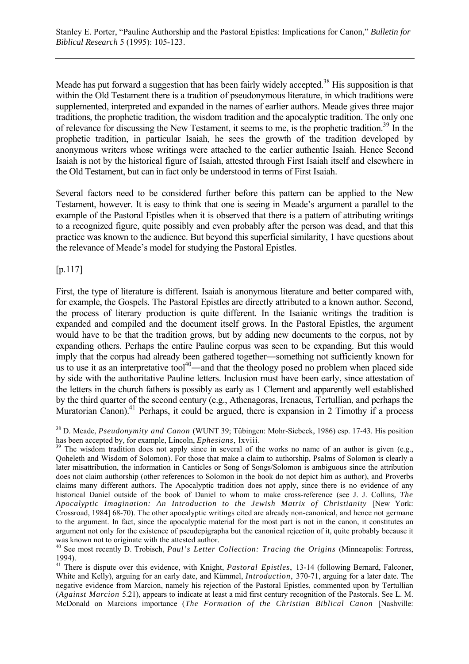Meade has put forward a suggestion that has been fairly widely accepted.<sup>38</sup> His supposition is that within the Old Testament there is a tradition of pseudonymous literature, in which traditions were supplemented, interpreted and expanded in the names of earlier authors. Meade gives three major traditions, the prophetic tradition, the wisdom tradition and the apocalyptic tradition. The only one of relevance for discussing the New Testament, it seems to me, is the prophetic tradition.<sup>39</sup> In the prophetic tradition, in particular Isaiah, he sees the growth of the tradition developed by anonymous writers whose writings were attached to the earlier authentic Isaiah. Hence Second Isaiah is not by the historical figure of Isaiah, attested through First Isaiah itself and elsewhere in the Old Testament, but can in fact only be understood in terms of First Isaiah.

Several factors need to be considered further before this pattern can be applied to the New Testament, however. It is easy to think that one is seeing in Meade's argument a parallel to the example of the Pastoral Epistles when it is observed that there is a pattern of attributing writings to a recognized figure, quite possibly and even probably after the person was dead, and that this practice was known to the audience. But beyond this superficial similarity, 1 have questions about the relevance of Meade's model for studying the Pastoral Epistles.

[p.117]

l

First, the type of literature is different. Isaiah is anonymous literature and better compared with, for example, the Gospels. The Pastoral Epistles are directly attributed to a known author. Second, the process of literary production is quite different. In the Isaianic writings the tradition is expanded and compiled and the document itself grows. In the Pastoral Epistles, the argument would have to be that the tradition grows, but by adding new documents to the corpus, not by expanding others. Perhaps the entire Pauline corpus was seen to be expanding. But this would imply that the corpus had already been gathered together―something not sufficiently known for us to use it as an interpretative tool<sup>40</sup>—and that the theology posed no problem when placed side by side with the authoritative Pauline letters. Inclusion must have been early, since attestation of the letters in the church fathers is possibly as early as 1 Clement and apparently well established by the third quarter of the second century (e.g., Athenagoras, Irenaeus, Tertullian, and perhaps the Muratorian Canon).<sup>41</sup> Perhaps, it could be argued, there is expansion in 2 Timothy if a process

<sup>38</sup> D. Meade, *Pseudonymity and Canon* (WUNT 39; Tübingen: Mohr-Siebeck, 1986) esp. 17-43. His position

has been accepted by, for example, Lincoln, *Ephesians*, lxviii.<br><sup>39</sup> The wisdom tradition does not apply since in several of the works no name of an author is given (e.g., Qoheleth and Wisdom of Solomon). For those that make a claim to authorship, Psalms of Solomon is clearly a later misattribution, the information in Canticles or Song of Songs/Solomon is ambiguous since the attribution does not claim authorship (other references to Solomon in the book do not depict him as author), and Proverbs claims many different authors. The Apocalyptic tradition does not apply, since there is no evidence of any historical Daniel outside of the book of Daniel to whom to make cross-reference (see J. J. Collins*, The Apocalyptic Imagination: An Introduction to the Jewish Matrix of Christianity* [New York: Crossroad, 1984] 68-70). The other apocalyptic writings cited are already non-canonical, and hence not germane to the argument. In fact, since the apocalyptic material for the most part is not in the canon, it constitutes an argument not only for the existence of pseudepigrapha but the canonical rejection of it, quite probably because it was known not to originate with the attested author.

<sup>40</sup> See most recently D. Trobisch, *Paul's Letter Collection: Tracing the Origins* (Minneapolis: Fortress, 1994).

<sup>&</sup>lt;sup>41</sup> There is dispute over this evidence, with Knight, *Pastoral Epistles*, 13-14 (following Bernard, Falconer, White and Kelly), arguing for an early date, and Kümmel, *Introduction*, 370-71, arguing for a later date. The negative evidence from Marcion, namely his rejection of the Pastoral Epistles, commented upon by Tertullian (*Against Marcion* 5.21), appears to indicate at least a mid first century recognition of the Pastorals. See L. M. McDonald on Marcions importance (*The Formation of the Christian Biblical Canon* [Nashville: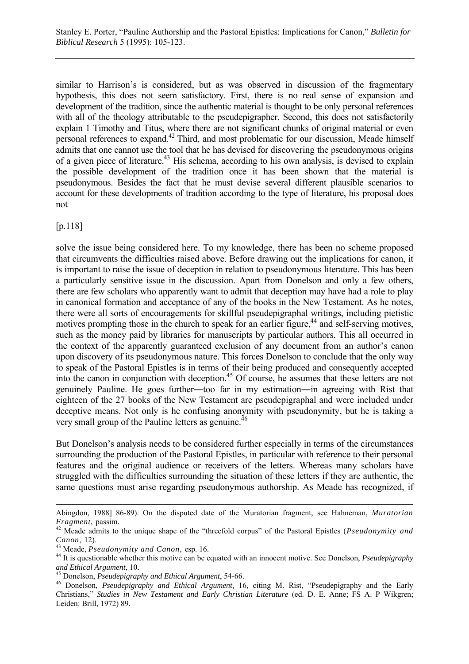similar to Harrison's is considered, but as was observed in discussion of the fragmentary hypothesis, this does not seem satisfactory. First, there is no real sense of expansion and development of the tradition, since the authentic material is thought to be only personal references with all of the theology attributable to the pseudepigrapher. Second, this does not satisfactorily explain 1 Timothy and Titus, where there are not significant chunks of original material or even personal references to expand.42 Third, and most problematic for our discussion, Meade himself admits that one cannot use the tool that he has devised for discovering the pseudonymous origins of a given piece of literature.43 His schema, according to his own analysis, is devised to explain the possible development of the tradition once it has been shown that the material is pseudonymous. Besides the fact that he must devise several different plausible scenarios to account for these developments of tradition according to the type of literature, his proposal does not

[p.118]

 $\overline{a}$ 

solve the issue being considered here. To my knowledge, there has been no scheme proposed that circumvents the difficulties raised above. Before drawing out the implications for canon, it is important to raise the issue of deception in relation to pseudonymous literature. This has been a particularly sensitive issue in the discussion. Apart from Donelson and only a few others, there are few scholars who apparently want to admit that deception may have had a role to play in canonical formation and acceptance of any of the books in the New Testament. As he notes, there were all sorts of encouragements for skillful pseudepigraphal writings, including pietistic motives prompting those in the church to speak for an earlier figure,  $44$  and self-serving motives, such as the money paid by libraries for manuscripts by particular authors. This all occurred in the context of the apparently guaranteed exclusion of any document from an author's canon upon discovery of its pseudonymous nature. This forces Donelson to conclude that the only way to speak of the Pastoral Epistles is in terms of their being produced and consequently accepted into the canon in conjunction with deception.45 Of course, he assumes that these letters are not genuinely Pauline. He goes further―too far in my estimation―in agreeing with Rist that eighteen of the 27 books of the New Testament are pseudepigraphal and were included under deceptive means. Not only is he confusing anonymity with pseudonymity, but he is taking a very small group of the Pauline letters as genuine.<sup>46</sup>

But Donelson's analysis needs to be considered further especially in terms of the circumstances surrounding the production of the Pastoral Epistles, in particular with reference to their personal features and the original audience or receivers of the letters. Whereas many scholars have struggled with the difficulties surrounding the situation of these letters if they are authentic, the same questions must arise regarding pseudonymous authorship. As Meade has recognized, if

Abingdon, 1988] 86-89). On the disputed date of the Muratorian fragment, see Hahneman, *Muratorian Fragment*, passim.<br><sup>42</sup> Meade admits to the unique shape of the "threefold corpus" of the Pastoral Epistles (*Pseudonymity and* 

*Canon*, 12).<br><sup>43</sup> Meade, *Pseudonymity and Canon*, esp. 16.<br><sup>44</sup> It is questionable whether this motive can be equated with an innocent motive. See Donelson, *Pseudepigraphy*<br><sup>45</sup> Donelson, *Pseudepigraphy and Ethical Arg* 

<sup>&</sup>lt;sup>46</sup> Donelson, *Pseudepigraphy and Ethical Argument*, 16, citing M. Rist, "Pseudepigraphy and the Early Christians," *Studies in New Testament and Early Christian Literature* (ed. D. E. Anne; FS A. P Wikgren; Leiden: Brill, 1972) 89.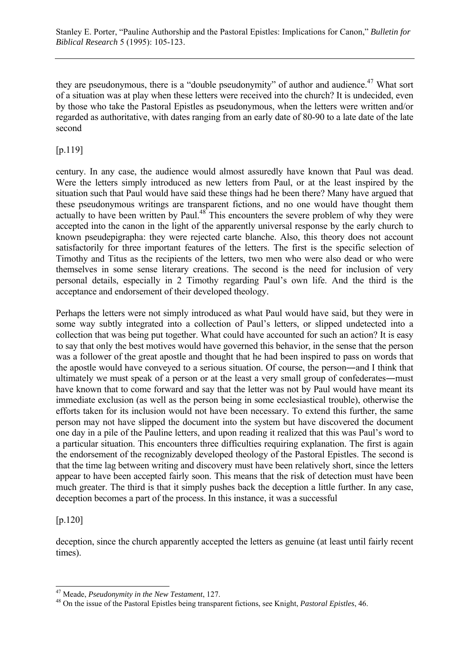they are pseudonymous, there is a "double pseudonymity" of author and audience.<sup>47</sup> What sort of a situation was at play when these letters were received into the church? It is undecided, even by those who take the Pastoral Epistles as pseudonymous, when the letters were written and/or regarded as authoritative, with dates ranging from an early date of 80-90 to a late date of the late second

[p.119]

century. In any case, the audience would almost assuredly have known that Paul was dead. Were the letters simply introduced as new letters from Paul, or at the least inspired by the situation such that Paul would have said these things had he been there? Many have argued that these pseudonymous writings are transparent fictions, and no one would have thought them actually to have been written by Paul.<sup>48</sup> This encounters the severe problem of why they were accepted into the canon in the light of the apparently universal response by the early church to known pseudepigrapha: they were rejected carte blanche. Also, this theory does not account satisfactorily for three important features of the letters. The first is the specific selection of Timothy and Titus as the recipients of the letters, two men who were also dead or who were themselves in some sense literary creations. The second is the need for inclusion of very personal details, especially in 2 Timothy regarding Paul's own life. And the third is the acceptance and endorsement of their developed theology.

Perhaps the letters were not simply introduced as what Paul would have said, but they were in some way subtly integrated into a collection of Paul's letters, or slipped undetected into a collection that was being put together. What could have accounted for such an action? It is easy to say that only the best motives would have governed this behavior, in the sense that the person was a follower of the great apostle and thought that he had been inspired to pass on words that the apostle would have conveyed to a serious situation. Of course, the person―and I think that ultimately we must speak of a person or at the least a very small group of confederates―must have known that to come forward and say that the letter was not by Paul would have meant its immediate exclusion (as well as the person being in some ecclesiastical trouble), otherwise the efforts taken for its inclusion would not have been necessary. To extend this further, the same person may not have slipped the document into the system but have discovered the document one day in a pile of the Pauline letters, and upon reading it realized that this was Paul's word to a particular situation. This encounters three difficulties requiring explanation. The first is again the endorsement of the recognizably developed theology of the Pastoral Epistles. The second is that the time lag between writing and discovery must have been relatively short, since the letters appear to have been accepted fairly soon. This means that the risk of detection must have been much greater. The third is that it simply pushes back the deception a little further. In any case, deception becomes a part of the process. In this instance, it was a successful

[p.120]

l

deception, since the church apparently accepted the letters as genuine (at least until fairly recent times).

<sup>47</sup> Meade, *Pseudonymity in the New Testament*, 127. 48 On the issue of the Pastoral Epistles being transparent fictions, see Knight, *Pastoral Epistles*, 46.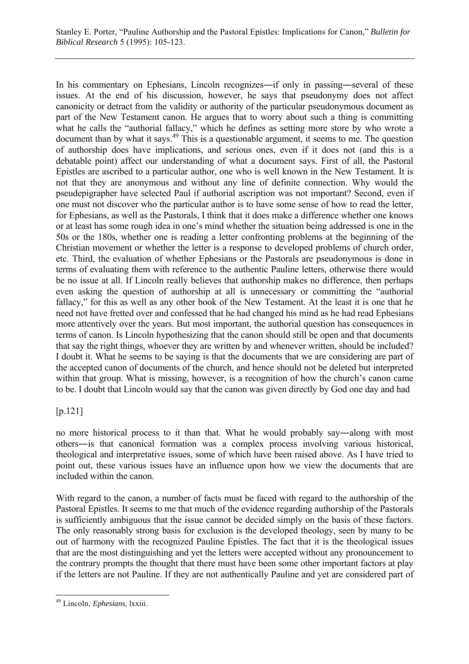In his commentary on Ephesians, Lincoln recognizes—if only in passing—several of these issues. At the end of his discussion, however, he says that pseudonymy does not affect canonicity or detract from the validity or authority of the particular pseudonymous document as part of the New Testament canon. He argues that to worry about such a thing is committing what he calls the "authorial fallacy," which he defines as setting more store by who wrote a document than by what it says.<sup>49</sup> This is a questionable argument, it seems to me. The question of authorship does have implications, and serious ones, even if it does not (and this is a debatable point) affect our understanding of what a document says. First of all, the Pastoral Epistles are ascribed to a particular author, one who is well known in the New Testament. It is not that they are anonymous and without any line of definite connection. Why would the pseudepigrapher have selected Paul if authorial ascription was not important? Second, even if one must not discover who the particular author is to have some sense of how to read the letter, for Ephesians, as well as the Pastorals, I think that it does make a difference whether one knows or at least has some rough idea in one's mind whether the situation being addressed is one in the 50s or the 180s, whether one is reading a letter confronting problems at the beginning of the Christian movement or whether the letter is a response to developed problems of church order, etc. Third, the evaluation of whether Ephesians or the Pastorals are pseudonymous is done in terms of evaluating them with reference to the authentic Pauline letters, otherwise there would be no issue at all. If Lincoln really believes that authorship makes no difference, then perhaps even asking the question of authorship at all is unnecessary or committing the "authorial fallacy," for this as well as any other book of the New Testament. At the least it is one that he need not have fretted over and confessed that he had changed his mind as he had read Ephesians more attentively over the years. But most important, the authorial question has consequences in terms of canon. Is Lincoln hypothesizing that the canon should still be open and that documents that say the right things, whoever they are written by and whenever written, should be included? I doubt it. What he seems to be saying is that the documents that we are considering are part of the accepted canon of documents of the church, and hence should not be deleted but interpreted within that group. What is missing, however, is a recognition of how the church's canon came to be. I doubt that Lincoln would say that the canon was given directly by God one day and had

# [p.121]

no more historical process to it than that. What he would probably say―along with most others―is that canonical formation was a complex process involving various historical, theological and interpretative issues, some of which have been raised above. As I have tried to point out, these various issues have an influence upon how we view the documents that are included within the canon.

With regard to the canon, a number of facts must be faced with regard to the authorship of the Pastoral Epistles. It seems to me that much of the evidence regarding authorship of the Pastorals is sufficiently ambiguous that the issue cannot be decided simply on the basis of these factors. The only reasonably strong basis for exclusion is the developed theology, seen by many to be out of harmony with the recognized Pauline Epistles. The fact that it is the theological issues that are the most distinguishing and yet the letters were accepted without any pronouncement to the contrary prompts the thought that there must have been some other important factors at play if the letters are not Pauline. If they are not authentically Pauline and yet are considered part of

 $\overline{a}$ 49 Lincoln, *Ephesians*, lxxiii.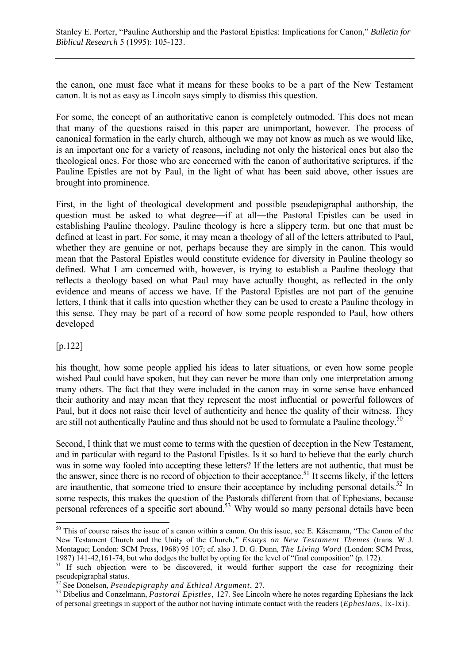the canon, one must face what it means for these books to be a part of the New Testament canon. It is not as easy as Lincoln says simply to dismiss this question.

For some, the concept of an authoritative canon is completely outmoded. This does not mean that many of the questions raised in this paper are unimportant, however. The process of canonical formation in the early church, although we may not know as much as we would like, is an important one for a variety of reasons, including not only the historical ones but also the theological ones. For those who are concerned with the canon of authoritative scriptures, if the Pauline Epistles are not by Paul, in the light of what has been said above, other issues are brought into prominence.

First, in the light of theological development and possible pseudepigraphal authorship, the question must be asked to what degree—if at all—the Pastoral Epistles can be used in establishing Pauline theology. Pauline theology is here a slippery term, but one that must be defined at least in part. For some, it may mean a theology of all of the letters attributed to Paul, whether they are genuine or not, perhaps because they are simply in the canon. This would mean that the Pastoral Epistles would constitute evidence for diversity in Pauline theology so defined. What I am concerned with, however, is trying to establish a Pauline theology that reflects a theology based on what Paul may have actually thought, as reflected in the only evidence and means of access we have. If the Pastoral Epistles are not part of the genuine letters, I think that it calls into question whether they can be used to create a Pauline theology in this sense. They may be part of a record of how some people responded to Paul, how others developed

#### [p.122]

 $\overline{a}$ 

his thought, how some people applied his ideas to later situations, or even how some people wished Paul could have spoken, but they can never be more than only one interpretation among many others. The fact that they were included in the canon may in some sense have enhanced their authority and may mean that they represent the most influential or powerful followers of Paul, but it does not raise their level of authenticity and hence the quality of their witness. They are still not authentically Pauline and thus should not be used to formulate a Pauline theology.<sup>50</sup>

Second, I think that we must come to terms with the question of deception in the New Testament, and in particular with regard to the Pastoral Epistles. Is it so hard to believe that the early church was in some way fooled into accepting these letters? If the letters are not authentic, that must be the answer, since there is no record of objection to their acceptance.<sup>51</sup> It seems likely, if the letters are inauthentic, that someone tried to ensure their acceptance by including personal details.<sup>52</sup> In some respects, this makes the question of the Pastorals different from that of Ephesians, because personal references of a specific sort abound.53 Why would so many personal details have been

 $50$  This of course raises the issue of a canon within a canon. On this issue, see E. Käsemann, "The Canon of the New Testament Church and the Unity of the Church*," Essays on New Testament Themes* (trans. W J. Montague; London: SCM Press, 1968) 95 107; cf. also J. D. G. Dunn, *The Living Word* (London: SCM Press, 1987) 141-42,161-74, but who dodges the bullet by opting for the level of "final composition" (p. 172).

<sup>&</sup>lt;sup>51</sup> If such objection were to be discovered, it would further support the case for recognizing their pseudepigraphal status.<br><sup>52</sup> See Donelson, *Pseudepigraphy and Ethical Argument*, 27.

<sup>&</sup>lt;sup>53</sup> Dibelius and Conzelmann, *Pastoral Epistles*, 127. See Lincoln where he notes regarding Ephesians the lack of personal greetings in support of the author not having intimate contact with the readers (*Ephesians*, lx-lxi).